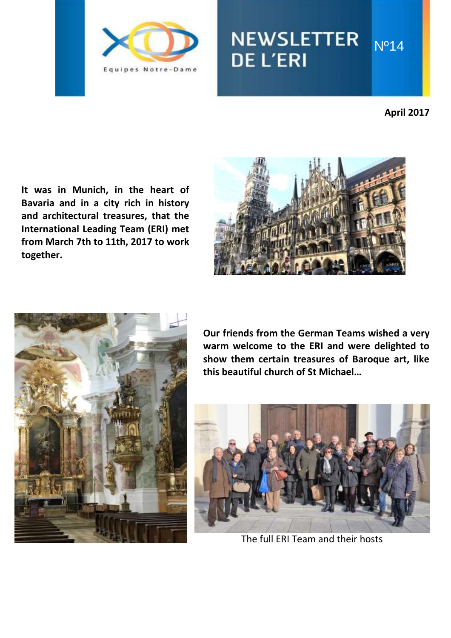

# NEWSLETTER Nº14 **DE L'ERI**

**April 2017**

**It was in Munich, in the heart of Bavaria and in a city rich in history and architectural treasures, that the International Leading Team (ERI) met from March 7th to 11th, 2017 to work together.**





**Our friends from the German Teams wished a very warm welcome to the ERI and were delighted to show them certain treasures of Baroque art, like this beautiful church of St Michael…**



The full ERI Team and their hosts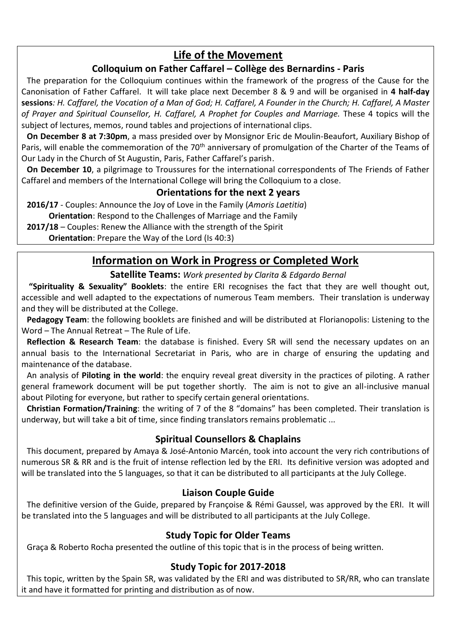# **Life of the Movement**

#### **Colloquium on Father Caffarel – Collège des Bernardins - Paris**

The preparation for the Colloquium continues within the framework of the progress of the Cause for the Canonisation of Father Caffarel. It will take place next December 8 & 9 and will be organised in **4 half-day sessions***: H. Caffarel, the Vocation of a Man of God; H. Caffarel, A Founder in the Church; H. Caffarel, A Master of Prayer and Spiritual Counsellor, H. Caffarel, A Prophet for Couples and Marriage.* These 4 topics will the subject of lectures, memos, round tables and projections of international clips.

**On December 8 at 7:30pm**, a mass presided over by Monsignor Eric de Moulin-Beaufort, Auxiliary Bishop of Paris, will enable the commemoration of the 70<sup>th</sup> anniversary of promulgation of the Charter of the Teams of Our Lady in the Church of St Augustin, Paris, Father Caffarel's parish.

**On December 10**, a pilgrimage to Troussures for the international correspondents of The Friends of Father Caffarel and members of the International College will bring the Colloquium to a close.

#### **Orientations for the next 2 years**

**2016/17** - Couples: Announce the Joy of Love in the Family (*Amoris Laetitia*)

**Orientation**: Respond to the Challenges of Marriage and the Family

**2017/18** – Couples: Renew the Alliance with the strength of the Spirit

**Orientation**: Prepare the Way of the Lord (Is 40:3)

# **Information on Work in Progress or Completed Work**

**Satellite Teams:** *Work presented by Clarita & Edgardo Bernal*

**"Spirituality & Sexuality" Booklets**: the entire ERI recognises the fact that they are well thought out, accessible and well adapted to the expectations of numerous Team members. Their translation is underway and they will be distributed at the College.

**Pedagogy Team**: the following booklets are finished and will be distributed at Florianopolis: Listening to the Word – The Annual Retreat – The Rule of Life.

**Reflection & Research Team**: the database is finished. Every SR will send the necessary updates on an annual basis to the International Secretariat in Paris, who are in charge of ensuring the updating and maintenance of the database.

An analysis of **Piloting in the world**: the enquiry reveal great diversity in the practices of piloting. A rather general framework document will be put together shortly. The aim is not to give an all-inclusive manual about Piloting for everyone, but rather to specify certain general orientations.

**Christian Formation/Training**: the writing of 7 of the 8 "domains" has been completed. Their translation is underway, but will take a bit of time, since finding translators remains problematic ...

#### **Spiritual Counsellors & Chaplains**

This document, prepared by Amaya & José-Antonio Marcén, took into account the very rich contributions of numerous SR & RR and is the fruit of intense reflection led by the ERI. Its definitive version was adopted and will be translated into the 5 languages, so that it can be distributed to all participants at the July College.

#### **Liaison Couple Guide**

The definitive version of the Guide, prepared by Françoise & Rémi Gaussel, was approved by the ERI. It will be translated into the 5 languages and will be distributed to all participants at the July College.

#### **Study Topic for Older Teams**

Graça & Roberto Rocha presented the outline of this topic that is in the process of being written.

#### **Study Topic for 2017-2018**

This topic, written by the Spain SR, was validated by the ERI and was distributed to SR/RR, who can translate it and have it formatted for printing and distribution as of now.